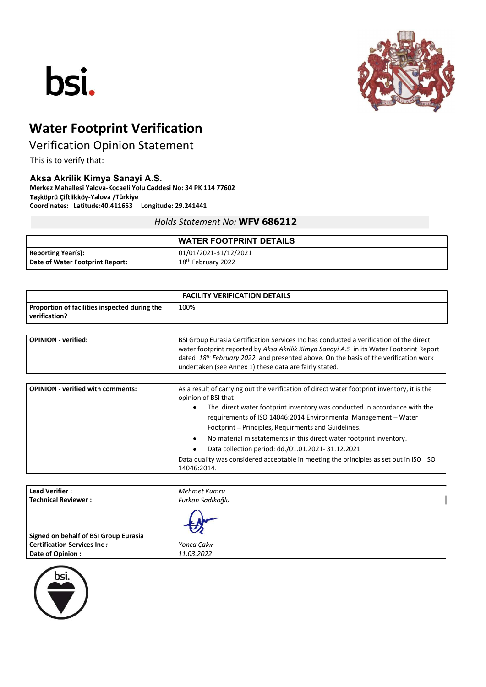# bsi.



## Water Footprint Verification

### Verification Opinion Statement

This is to verify that:

#### Aksa Akrilik Kimya Sanayi A.S.

Merkez Mahallesi Yalova-Kocaeli Yolu Caddesi No: 34 PK 114 77602 Taşköprü Çiftlikköy-Yalova /Türkiye Coordinates: Latitude:40.411653 Longitude: 29.241441

#### Holds Statement No: WFV 686212

|                                                              | <b>WATER FOOTPRINT DETAILS</b>                          |
|--------------------------------------------------------------|---------------------------------------------------------|
| <b>Reporting Year(s):</b><br>Date of Water Footprint Report: | 01/01/2021-31/12/2021<br>18 <sup>th</sup> February 2022 |
|                                                              |                                                         |

| <b>FACILITY VERIFICATION DETAILS</b>                           |                                                                                                                                                                                                                                                                                                                                                 |  |  |  |
|----------------------------------------------------------------|-------------------------------------------------------------------------------------------------------------------------------------------------------------------------------------------------------------------------------------------------------------------------------------------------------------------------------------------------|--|--|--|
| Proportion of facilities inspected during the<br>verification? | 100%                                                                                                                                                                                                                                                                                                                                            |  |  |  |
|                                                                |                                                                                                                                                                                                                                                                                                                                                 |  |  |  |
| <b>OPINION</b> - verified:                                     | BSI Group Eurasia Certification Services Inc has conducted a verification of the direct<br>water footprint reported by Aksa Akrilik Kimya Sanayi A.S in its Water Footprint Report<br>dated 18 <sup>th</sup> February 2022 and presented above. On the basis of the verification work<br>undertaken (see Annex 1) these data are fairly stated. |  |  |  |
|                                                                |                                                                                                                                                                                                                                                                                                                                                 |  |  |  |
| <b>OPINION - verified with comments:</b>                       | As a result of carrying out the verification of direct water footprint inventory, it is the<br>opinion of BSI that                                                                                                                                                                                                                              |  |  |  |
|                                                                | The direct water footprint inventory was conducted in accordance with the<br>requirements of ISO 14046:2014 Environmental Management – Water<br>Footprint – Principles, Requirments and Guidelines.                                                                                                                                             |  |  |  |
|                                                                | No material misstatements in this direct water footprint inventory.                                                                                                                                                                                                                                                                             |  |  |  |
|                                                                | Data collection period: dd./01.01.2021-31.12.2021                                                                                                                                                                                                                                                                                               |  |  |  |
|                                                                | Data quality was considered acceptable in meeting the principles as set out in ISO ISO<br>14046:2014.                                                                                                                                                                                                                                           |  |  |  |

| <b>Lead Verifier:</b>                 | Mehmet Kumru     |  |
|---------------------------------------|------------------|--|
| <b>Technical Reviewer:</b>            | Furkan Sadıkoğlu |  |
| Signed on behalf of BSI Group Eurasia | 妙                |  |
| <b>Certification Services Inc:</b>    | Yonca Çakır      |  |
| Date of Opinion:                      | 11.03.2022       |  |